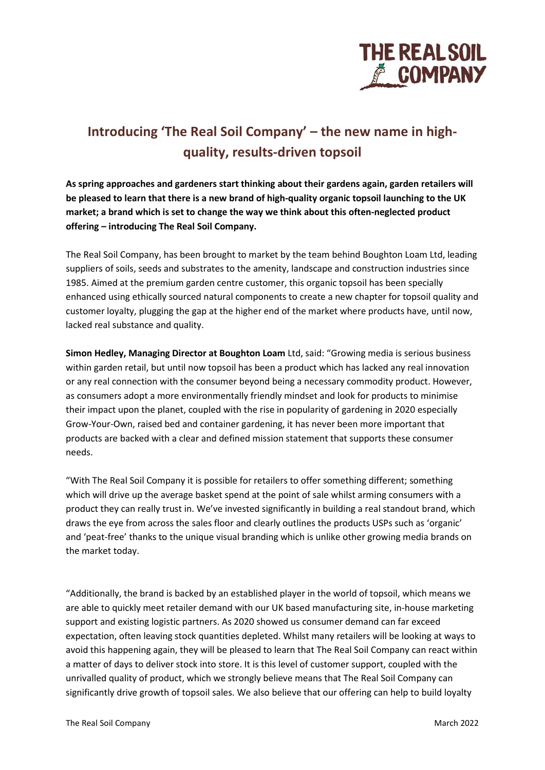

# **Introducing 'The Real Soil Company' – the new name in highquality, results-driven topsoil**

**As spring approaches and gardeners start thinking about their gardens again, garden retailers will be pleased to learn that there is a new brand of high-quality organic topsoil launching to the UK market; a brand which is set to change the way we think about this often-neglected product offering – introducing The Real Soil Company.**

The Real Soil Company, has been brought to market by the team behind Boughton Loam Ltd, leading suppliers of soils, seeds and substrates to the amenity, landscape and construction industries since 1985. Aimed at the premium garden centre customer, this organic topsoil has been specially enhanced using ethically sourced natural components to create a new chapter for topsoil quality and customer loyalty, plugging the gap at the higher end of the market where products have, until now, lacked real substance and quality.

**Simon Hedley, Managing Director at Boughton Loam** Ltd, said: "Growing media is serious business within garden retail, but until now topsoil has been a product which has lacked any real innovation or any real connection with the consumer beyond being a necessary commodity product. However, as consumers adopt a more environmentally friendly mindset and look for products to minimise their impact upon the planet, coupled with the rise in popularity of gardening in 2020 especially Grow-Your-Own, raised bed and container gardening, it has never been more important that products are backed with a clear and defined mission statement that supports these consumer needs.

"With The Real Soil Company it is possible for retailers to offer something different; something which will drive up the average basket spend at the point of sale whilst arming consumers with a product they can really trust in. We've invested significantly in building a real standout brand, which draws the eye from across the sales floor and clearly outlines the products USPs such as 'organic' and 'peat-free' thanks to the unique visual branding which is unlike other growing media brands on the market today.

"Additionally, the brand is backed by an established player in the world of topsoil, which means we are able to quickly meet retailer demand with our UK based manufacturing site, in-house marketing support and existing logistic partners. As 2020 showed us consumer demand can far exceed expectation, often leaving stock quantities depleted. Whilst many retailers will be looking at ways to avoid this happening again, they will be pleased to learn that The Real Soil Company can react within a matter of days to deliver stock into store. It is this level of customer support, coupled with the unrivalled quality of product, which we strongly believe means that The Real Soil Company can significantly drive growth of topsoil sales. We also believe that our offering can help to build loyalty